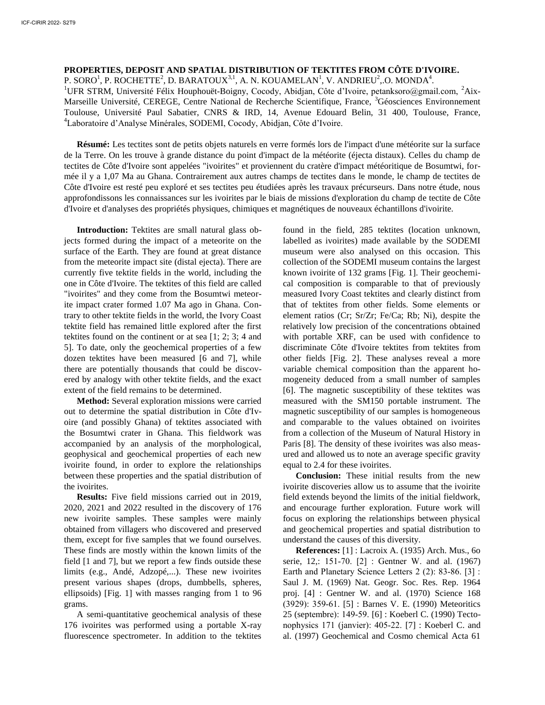## **PROPERTIES, DEPOSIT AND SPATIAL DISTRIBUTION OF TEKTITES FROM CÔTE D'IVOIRE.**

P. SORO $^1$ , P. ROCHETTE<sup>2</sup>, D. BARATOUX<sup>3,1</sup>, A. N. KOUAMELAN<sup>1</sup>, V. ANDRIEU<sup>2</sup>, O. MONDA<sup>4</sup>.

<sup>1</sup>UFR STRM, Université Félix Houphouët-Boigny, Cocody, Abidjan, Côte d'Ivoire, petanksoro@gmail.com, <sup>2</sup>Aix-Marseille Université, CEREGE, Centre National de Recherche Scientifique, France, <sup>3</sup>Géosciences Environnement Toulouse, Université Paul Sabatier, CNRS & IRD, 14, Avenue Edouard Belin, 31 400, Toulouse, France, <sup>4</sup>Laboratoire d'Analyse Minérales, SODEMI, Cocody, Abidjan, Côte d'Ivoire.

**Résumé:** Les tectites sont de petits objets naturels en verre formés lors de l'impact d'une météorite sur la surface de la Terre. On les trouve à grande distance du point d'impact de la météorite (éjecta distaux). Celles du champ de tectites de Côte d'Ivoire sont appelées "ivoirites" et proviennent du cratère d'impact météoritique de Bosumtwi, formée il y a 1,07 Ma au Ghana. Contrairement aux autres champs de tectites dans le monde, le champ de tectites de Côte d'Ivoire est resté peu exploré et ses tectites peu étudiées après les travaux précurseurs. Dans notre étude, nous approfondissons les connaissances sur les ivoirites par le biais de missions d'exploration du champ de tectite de Côte d'Ivoire et d'analyses des propriétés physiques, chimiques et magnétiques de nouveaux échantillons d'ivoirite.

**Introduction:** Tektites are small natural glass objects formed during the impact of a meteorite on the surface of the Earth. They are found at great distance from the meteorite impact site (distal ejecta). There are currently five tektite fields in the world, including the one in Côte d'Ivoire. The tektites of this field are called "ivoirites" and they come from the Bosumtwi meteorite impact crater formed 1.07 Ma ago in Ghana. Contrary to other tektite fields in the world, the Ivory Coast tektite field has remained little explored after the first tektites found on the continent or at sea [1; 2; 3; 4 and 5]. To date, only the geochemical properties of a few dozen tektites have been measured [6 and 7], while there are potentially thousands that could be discovered by analogy with other tektite fields, and the exact extent of the field remains to be determined.

**Method:** Several exploration missions were carried out to determine the spatial distribution in Côte d'Ivoire (and possibly Ghana) of tektites associated with the Bosumtwi crater in Ghana. This fieldwork was accompanied by an analysis of the morphological, geophysical and geochemical properties of each new ivoirite found, in order to explore the relationships between these properties and the spatial distribution of the ivoirites.

**Results:** Five field missions carried out in 2019, 2020, 2021 and 2022 resulted in the discovery of 176 new ivoirite samples. These samples were mainly obtained from villagers who discovered and preserved them, except for five samples that we found ourselves. These finds are mostly within the known limits of the field [1 and 7], but we report a few finds outside these limits (e.g., Andé, Adzopé,...). These new ivoirites present various shapes (drops, dumbbells, spheres, ellipsoids) [Fig. 1] with masses ranging from 1 to 96 grams.

A semi-quantitative geochemical analysis of these 176 ivoirites was performed using a portable X-ray fluorescence spectrometer. In addition to the tektites

found in the field, 285 tektites (location unknown, labelled as ivoirites) made available by the SODEMI museum were also analysed on this occasion. This collection of the SODEMI museum contains the largest known ivoirite of 132 grams [Fig. 1]. Their geochemical composition is comparable to that of previously measured Ivory Coast tektites and clearly distinct from that of tektites from other fields. Some elements or element ratios (Cr; Sr/Zr; Fe/Ca; Rb; Ni), despite the relatively low precision of the concentrations obtained with portable XRF, can be used with confidence to discriminate Côte d'Ivoire tektites from tektites from other fields [Fig. 2]. These analyses reveal a more variable chemical composition than the apparent homogeneity deduced from a small number of samples [6]. The magnetic susceptibility of these tektites was measured with the SM150 portable instrument. The magnetic susceptibility of our samples is homogeneous and comparable to the values obtained on ivoirites from a collection of the Museum of Natural History in Paris [8]. The density of these ivoirites was also measured and allowed us to note an average specific gravity equal to 2.4 for these ivoirites.

**Conclusion:** These initial results from the new ivoirite discoveries allow us to assume that the ivoirite field extends beyond the limits of the initial fieldwork, and encourage further exploration. Future work will focus on exploring the relationships between physical and geochemical properties and spatial distribution to understand the causes of this diversity.

**References:** [1] : Lacroix A. (1935) Arch. Mus., 6o serie, 12,: 151‑70. [2] : Gentner W. and al. (1967) Earth and Planetary Science Letters 2 (2): 83-86. [3] : Saul J. M. (1969) Nat. Geogr. Soc. Res. Rep. 1964 proj. [4] : Gentner W. and al. (1970) Science 168 (3929): 359‑61. [5] : Barnes V. E. (1990) Meteoritics 25 (septembre): 149‑59. [6] : Koeberl C. (1990) Tectonophysics 171 (janvier): 405‑22. [7] : Koeberl C. and al. (1997) Geochemical and Cosmo chemical Acta 61